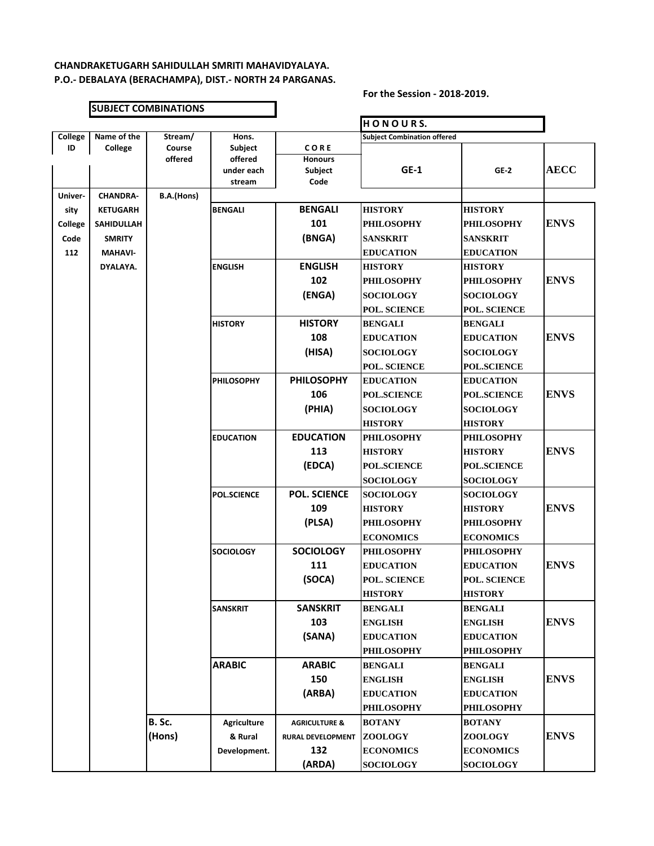## **CHANDRAKETUGARH SAHIDULLAH SMRITI MAHAVIDYALAYA. P.O.- DEBALAYA (BERACHAMPA), DIST.- NORTH 24 PARGANAS.**

**SUBJECT COMBINATIONS**

## **For the Session - 2018-2019.**

|         |                   |            |                       |                           | HONOURS.                           |                     |             |
|---------|-------------------|------------|-----------------------|---------------------------|------------------------------------|---------------------|-------------|
| College | Name of the       | Stream/    | Hons.                 |                           | <b>Subject Combination offered</b> |                     |             |
| ID      | College           | Course     | Subject               | CORE                      |                                    |                     |             |
|         |                   | offered    | offered<br>under each | <b>Honours</b><br>Subject | $GE-1$                             | $GE-2$              | <b>AECC</b> |
|         |                   |            | stream                | Code                      |                                    |                     |             |
| Univer- | <b>CHANDRA-</b>   | B.A.(Hons) |                       |                           |                                    |                     |             |
| sity    | <b>KETUGARH</b>   |            | <b>BENGALI</b>        | <b>BENGALI</b>            | <b>HISTORY</b>                     | <b>HISTORY</b>      |             |
|         | <b>SAHIDULLAH</b> |            |                       | 101                       | <b>PHILOSOPHY</b>                  | <b>PHILOSOPHY</b>   | <b>ENVS</b> |
| College |                   |            |                       |                           |                                    |                     |             |
| Code    | <b>SMRITY</b>     |            |                       | (BNGA)                    | <b>SANSKRIT</b>                    | <b>SANSKRIT</b>     |             |
| 112     | <b>MAHAVI-</b>    |            |                       |                           | <b>EDUCATION</b>                   | <b>EDUCATION</b>    |             |
|         | DYALAYA.          |            | <b>ENGLISH</b>        | <b>ENGLISH</b>            | <b>HISTORY</b>                     | <b>HISTORY</b>      |             |
|         |                   |            |                       | 102                       | <b>PHILOSOPHY</b>                  | <b>PHILOSOPHY</b>   | <b>ENVS</b> |
|         |                   |            |                       | (ENGA)                    | <b>SOCIOLOGY</b>                   | <b>SOCIOLOGY</b>    |             |
|         |                   |            |                       |                           | <b>POL. SCIENCE</b>                | <b>POL. SCIENCE</b> |             |
|         |                   |            | <b>HISTORY</b>        | <b>HISTORY</b>            | <b>BENGALI</b>                     | <b>BENGALI</b>      |             |
|         |                   |            |                       | 108                       | <b>EDUCATION</b>                   | <b>EDUCATION</b>    | <b>ENVS</b> |
|         |                   |            |                       | (HISA)                    | <b>SOCIOLOGY</b>                   | <b>SOCIOLOGY</b>    |             |
|         |                   |            |                       |                           | POL. SCIENCE                       | <b>POL.SCIENCE</b>  |             |
|         |                   |            | <b>PHILOSOPHY</b>     | <b>PHILOSOPHY</b>         | <b>EDUCATION</b>                   | <b>EDUCATION</b>    |             |
|         |                   |            |                       | 106                       | <b>POL.SCIENCE</b>                 | <b>POL.SCIENCE</b>  | <b>ENVS</b> |
|         |                   |            |                       | (PHIA)                    | <b>SOCIOLOGY</b>                   | <b>SOCIOLOGY</b>    |             |
|         |                   |            |                       |                           | <b>HISTORY</b>                     | <b>HISTORY</b>      |             |
|         |                   |            | <b>EDUCATION</b>      | <b>EDUCATION</b>          | <b>PHILOSOPHY</b>                  | <b>PHILOSOPHY</b>   |             |
|         |                   |            |                       | 113                       | <b>HISTORY</b>                     | <b>HISTORY</b>      | <b>ENVS</b> |
|         |                   |            |                       | (EDCA)                    | <b>POL.SCIENCE</b>                 | <b>POL.SCIENCE</b>  |             |
|         |                   |            |                       |                           | <b>SOCIOLOGY</b>                   | <b>SOCIOLOGY</b>    |             |
|         |                   |            | <b>POL.SCIENCE</b>    | <b>POL. SCIENCE</b>       | <b>SOCIOLOGY</b>                   | <b>SOCIOLOGY</b>    |             |
|         |                   |            |                       | 109                       |                                    |                     | <b>ENVS</b> |
|         |                   |            |                       |                           | <b>HISTORY</b>                     | <b>HISTORY</b>      |             |
|         |                   |            |                       | (PLSA)                    | <b>PHILOSOPHY</b>                  | <b>PHILOSOPHY</b>   |             |
|         |                   |            |                       |                           | <b>ECONOMICS</b>                   | <b>ECONOMICS</b>    |             |
|         |                   |            | <b>SOCIOLOGY</b>      | <b>SOCIOLOGY</b>          | <b>PHILOSOPHY</b>                  | <b>PHILOSOPHY</b>   |             |
|         |                   |            |                       | 111                       | <b>EDUCATION</b>                   | <b>EDUCATION</b>    | <b>ENVS</b> |
|         |                   |            |                       | (SOCA)                    | <b>POL. SCIENCE</b>                | <b>POL. SCIENCE</b> |             |
|         |                   |            |                       |                           | <b>HISTORY</b>                     | <b>HISTORY</b>      |             |
|         |                   |            | <b>SANSKRIT</b>       | <b>SANSKRIT</b>           | <b>BENGALI</b>                     | <b>BENGALI</b>      |             |
|         |                   |            |                       | 103                       | <b>ENGLISH</b>                     | <b>ENGLISH</b>      | <b>ENVS</b> |
|         |                   |            |                       | (SANA)                    | <b>EDUCATION</b>                   | <b>EDUCATION</b>    |             |
|         |                   |            |                       |                           | <b>PHILOSOPHY</b>                  | <b>PHILOSOPHY</b>   |             |
|         |                   |            | <b>ARABIC</b>         | <b>ARABIC</b>             | <b>BENGALI</b>                     | <b>BENGALI</b>      |             |
|         |                   |            |                       | 150                       | <b>ENGLISH</b>                     | <b>ENGLISH</b>      | <b>ENVS</b> |
|         |                   |            |                       | (ARBA)                    | <b>EDUCATION</b>                   | <b>EDUCATION</b>    |             |
|         |                   |            |                       |                           | <b>PHILOSOPHY</b>                  | <b>PHILOSOPHY</b>   |             |
|         |                   | B. Sc.     | <b>Agriculture</b>    | <b>AGRICULTURE &amp;</b>  | <b>BOTANY</b>                      | <b>BOTANY</b>       |             |
|         |                   | (Hons)     | & Rural               | RURAL DEVELOPMENT         | <b>ZOOLOGY</b>                     | <b>ZOOLOGY</b>      | <b>ENVS</b> |
|         |                   |            | Development.          | 132                       | <b>ECONOMICS</b>                   | <b>ECONOMICS</b>    |             |
|         |                   |            |                       | (ARDA)                    |                                    |                     |             |
|         |                   |            |                       |                           | <b>SOCIOLOGY</b>                   | <b>SOCIOLOGY</b>    |             |